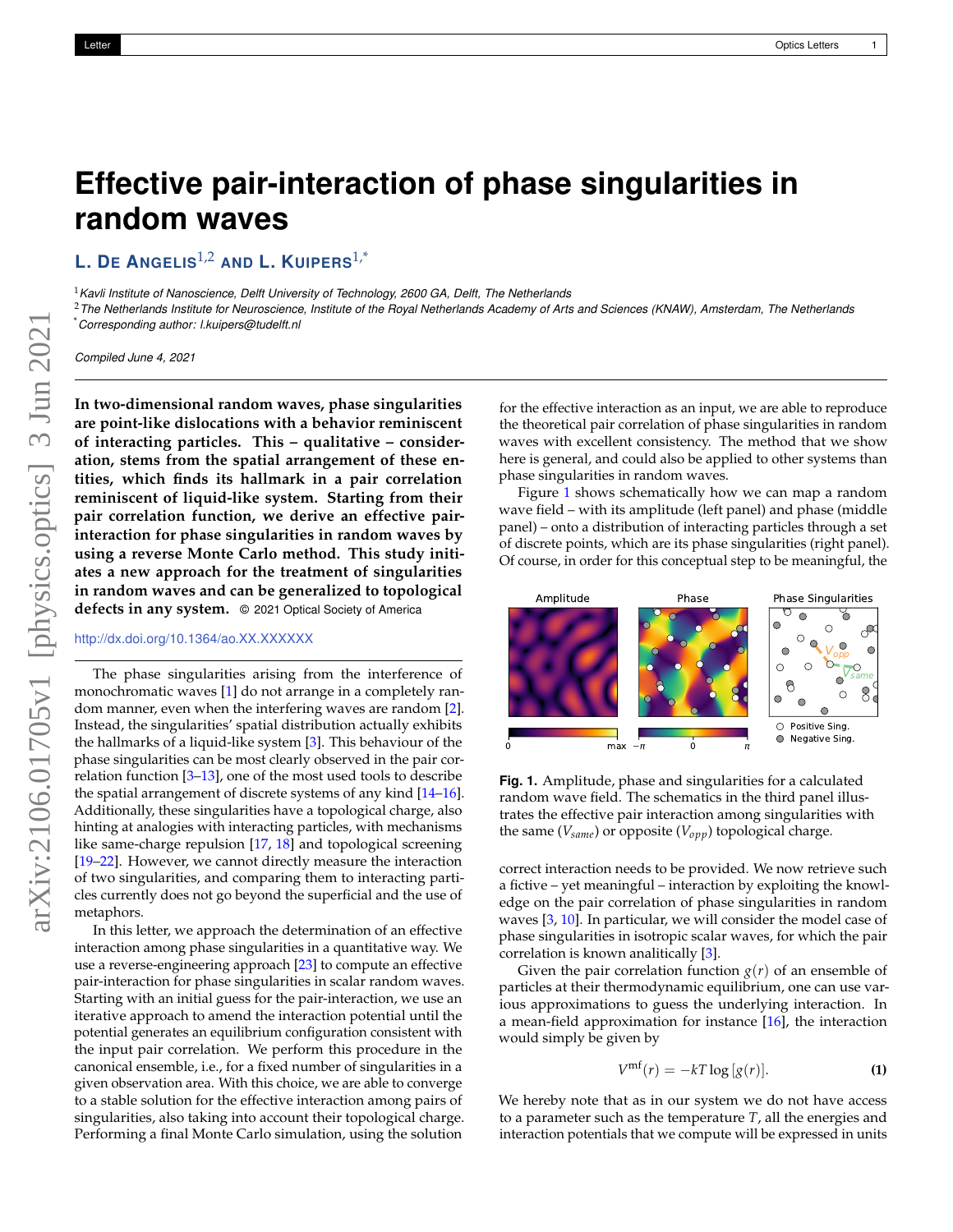## **Effective pair-interaction of phase singularities in random waves**

**L. D<sup>E</sup> ANGELIS**1,2 **AND L. KUIPERS**1,\*

<sup>1</sup>*Kavli Institute of Nanoscience, Delft University of Technology, 2600 GA, Delft, The Netherlands*

<sup>2</sup>*The Netherlands Institute for Neuroscience, Institute of the Royal Netherlands Academy of Arts and Sciences (KNAW), Amsterdam, The Netherlands* \**Corresponding author: l.kuipers@tudelft.nl*

*Compiled June 4, 2021*

**In two-dimensional random waves, phase singularities are point-like dislocations with a behavior reminiscent of interacting particles. This – qualitative – consideration, stems from the spatial arrangement of these entities, which finds its hallmark in a pair correlation reminiscent of liquid-like system. Starting from their pair correlation function, we derive an effective pairinteraction for phase singularities in random waves by using a reverse Monte Carlo method. This study initiates a new approach for the treatment of singularities in random waves and can be generalized to topological defects in any system.** © 2021 Optical Society of America

## <http://dx.doi.org/10.1364/ao.XX.XXXXXX>

The phase singularities arising from the interference of monochromatic waves [\[1\]](#page-3-0) do not arrange in a completely random manner, even when the interfering waves are random [\[2\]](#page-3-1). Instead, the singularities' spatial distribution actually exhibits the hallmarks of a liquid-like system  $[3]$ . This behaviour of the phase singularities can be most clearly observed in the pair correlation function [\[3–](#page-3-2)[13\]](#page-3-3), one of the most used tools to describe the spatial arrangement of discrete systems of any kind [\[14](#page-3-4)[–16\]](#page-3-5). Additionally, these singularities have a topological charge, also hinting at analogies with interacting particles, with mechanisms like same-charge repulsion [\[17,](#page-3-6) [18\]](#page-3-7) and topological screening [\[19](#page-3-8)[–22\]](#page-3-9). However, we cannot directly measure the interaction of two singularities, and comparing them to interacting particles currently does not go beyond the superficial and the use of metaphors.

In this letter, we approach the determination of an effective interaction among phase singularities in a quantitative way. We use a reverse-engineering approach [\[23\]](#page-3-10) to compute an effective pair-interaction for phase singularities in scalar random waves. Starting with an initial guess for the pair-interaction, we use an iterative approach to amend the interaction potential until the potential generates an equilibrium configuration consistent with the input pair correlation. We perform this procedure in the canonical ensemble, i.e., for a fixed number of singularities in a given observation area. With this choice, we are able to converge to a stable solution for the effective interaction among pairs of singularities, also taking into account their topological charge. Performing a final Monte Carlo simulation, using the solution

for the effective interaction as an input, we are able to reproduce the theoretical pair correlation of phase singularities in random waves with excellent consistency. The method that we show here is general, and could also be applied to other systems than phase singularities in random waves.

Figure [1](#page-0-0) shows schematically how we can map a random wave field – with its amplitude (left panel) and phase (middle panel) – onto a distribution of interacting particles through a set of discrete points, which are its phase singularities (right panel). Of course, in order for this conceptual step to be meaningful, the

<span id="page-0-0"></span>

**Fig. 1.** Amplitude, phase and singularities for a calculated random wave field. The schematics in the third panel illustrates the effective pair interaction among singularities with the same (*Vsame*) or opposite (*Vopp*) topological charge.

correct interaction needs to be provided. We now retrieve such a fictive – yet meaningful – interaction by exploiting the knowledge on the pair correlation of phase singularities in random waves [\[3,](#page-3-2) [10\]](#page-3-11). In particular, we will consider the model case of phase singularities in isotropic scalar waves, for which the pair correlation is known analitically [\[3\]](#page-3-2).

Given the pair correlation function  $g(r)$  of an ensemble of particles at their thermodynamic equilibrium, one can use various approximations to guess the underlying interaction. In a mean-field approximation for instance [\[16\]](#page-3-5), the interaction would simply be given by

$$
V^{\text{mf}}(r) = -kT \log [g(r)]. \tag{1}
$$

We hereby note that as in our system we do not have access to a parameter such as the temperature *T*, all the energies and interaction potentials that we compute will be expressed in units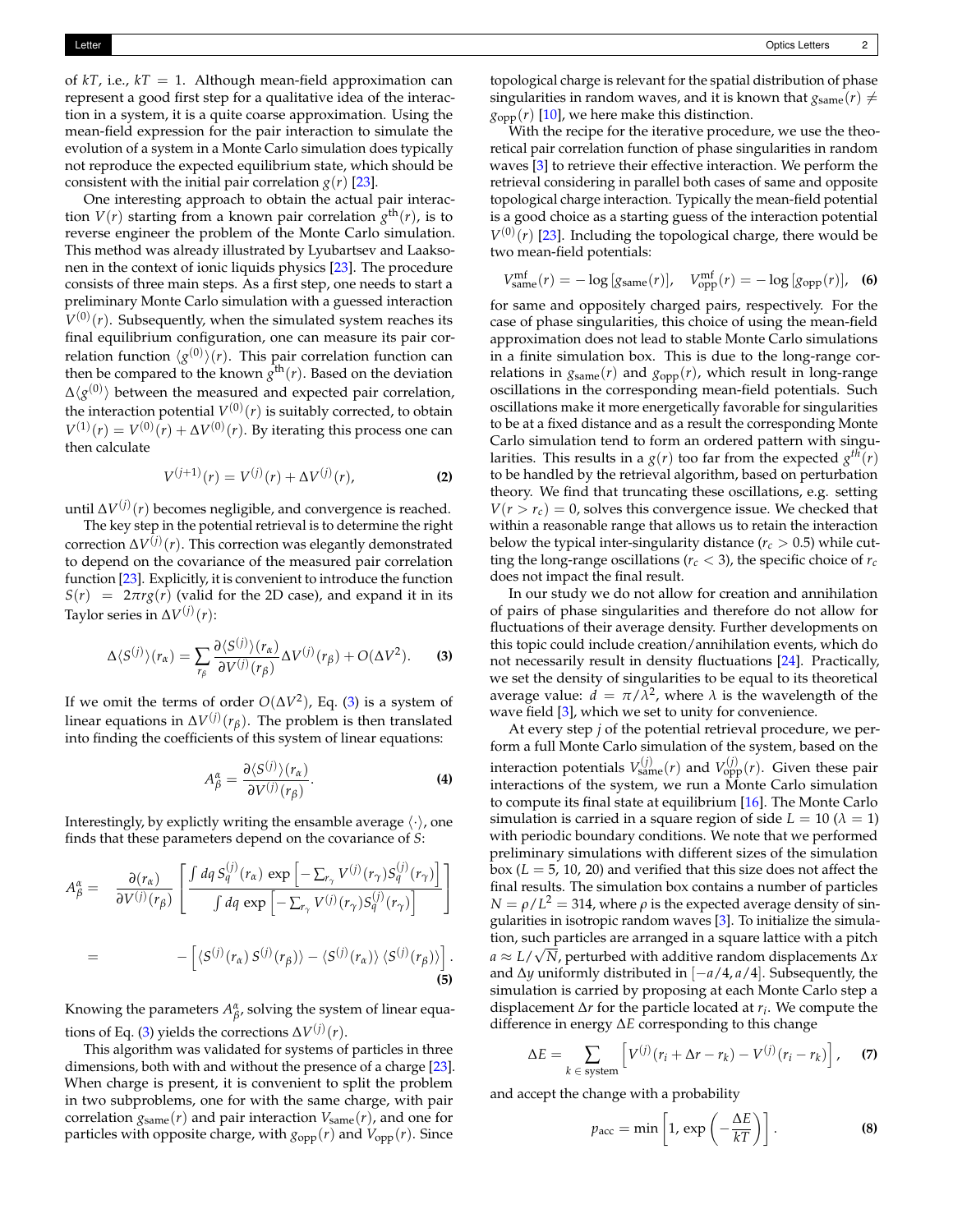of  $kT$ , i.e.,  $kT = 1$ . Although mean-field approximation can represent a good first step for a qualitative idea of the interaction in a system, it is a quite coarse approximation. Using the mean-field expression for the pair interaction to simulate the evolution of a system in a Monte Carlo simulation does typically not reproduce the expected equilibrium state, which should be consistent with the initial pair correlation  $g(r)$  [\[23\]](#page-3-10).

One interesting approach to obtain the actual pair interaction  $V(r)$  starting from a known pair correlation  $g<sup>th</sup>(r)$ , is to reverse engineer the problem of the Monte Carlo simulation. This method was already illustrated by Lyubartsev and Laaksonen in the context of ionic liquids physics [\[23\]](#page-3-10). The procedure consists of three main steps. As a first step, one needs to start a preliminary Monte Carlo simulation with a guessed interaction  $V^{(0)}(r)$ . Subsequently, when the simulated system reaches its final equilibrium configuration, one can measure its pair correlation function  $\langle g^{(0)} \rangle(r)$ . This pair correlation function can then be compared to the known  $g^{\text{th}}(r)$ . Based on the deviation  $\Delta\langle g^{(0)}\rangle$  between the measured and expected pair correlation, the interaction potential  $V^{(0)}(r)$  is suitably corrected, to obtain  $V^{(1)}(r) = V^{(0)}(r) + \Delta V^{(0)}(r)$ . By iterating this process one can then calculate

$$
V^{(j+1)}(r) = V^{(j)}(r) + \Delta V^{(j)}(r),
$$
 (2)

until ∆*V* (*j*) (*r*) becomes negligible, and convergence is reached.

The key step in the potential retrieval is to determine the right correction ∆*V* (*j*) (*r*). This correction was elegantly demonstrated to depend on the covariance of the measured pair correlation function [\[23\]](#page-3-10). Explicitly, it is convenient to introduce the function  $S(r) = 2\pi r g(r)$  (valid for the 2D case), and expand it in its Taylor series in ∆*V* (*j*) (*r*):

<span id="page-1-0"></span>
$$
\Delta \langle S^{(j)} \rangle (r_{\alpha}) = \sum_{r_{\beta}} \frac{\partial \langle S^{(j)} \rangle (r_{\alpha})}{\partial V^{(j)}(r_{\beta})} \Delta V^{(j)}(r_{\beta}) + O(\Delta V^2).
$$
 (3)

If we omit the terms of order  $O(\Delta V^2)$ , Eq. [\(3\)](#page-1-0) is a system of linear equations in  $\Delta V^{(j)}(r_\beta)$ . The problem is then translated into finding the coefficients of this system of linear equations:

$$
A_{\beta}^{\alpha} = \frac{\partial \langle S^{(j)} \rangle (r_{\alpha})}{\partial V^{(j)}(r_{\beta})}.
$$
 (4)

Interestingly, by explictly writing the ensamble average  $\langle \cdot \rangle$ , one finds that these parameters depend on the covariance of *S*:

$$
A_{\beta}^{\alpha} = \frac{\partial(r_{\alpha})}{\partial V^{(j)}(r_{\beta})} \left[ \frac{\int dq S_{q}^{(j)}(r_{\alpha}) \exp \left[ -\sum_{r_{\gamma}} V^{(j)}(r_{\gamma}) S_{q}^{(j)}(r_{\gamma}) \right]}{\int dq \exp \left[ -\sum_{r_{\gamma}} V^{(j)}(r_{\gamma}) S_{q}^{(j)}(r_{\gamma}) \right]} \right]
$$
  
= 
$$
- \left[ \langle S^{(j)}(r_{\alpha}) S^{(j)}(r_{\beta}) \rangle - \langle S^{(j)}(r_{\alpha}) \rangle \langle S^{(j)}(r_{\beta}) \rangle \right].
$$
  
(5)

Knowing the parameters  $A^{\alpha}_{\beta}$ , solving the system of linear equa-tions of Eq. [\(3\)](#page-1-0) yields the corrections  $\Delta V^{(j)}(r)$ .

This algorithm was validated for systems of particles in three dimensions, both with and without the presence of a charge [\[23\]](#page-3-10). When charge is present, it is convenient to split the problem in two subproblems, one for with the same charge, with pair correlation  $g_{\text{same}}(r)$  and pair interaction  $V_{\text{same}}(r)$ , and one for particles with opposite charge, with  $g_{opp}(r)$  and  $V_{opp}(r)$ . Since

topological charge is relevant for the spatial distribution of phase singularities in random waves, and it is known that  $g_{\text{same}}(r) \neq$  $g_{opp}(r)$  [\[10\]](#page-3-11), we here make this distinction.

With the recipe for the iterative procedure, we use the theoretical pair correlation function of phase singularities in random waves [\[3\]](#page-3-2) to retrieve their effective interaction. We perform the retrieval considering in parallel both cases of same and opposite topological charge interaction. Typically the mean-field potential is a good choice as a starting guess of the interaction potential  $V^{(0)}(r)$  [\[23\]](#page-3-10). Including the topological charge, there would be two mean-field potentials:

$$
V_{\text{same}}^{\text{mf}}(r) = -\log \left[ g_{\text{same}}(r) \right], \quad V_{\text{opp}}^{\text{mf}}(r) = -\log \left[ g_{\text{opp}}(r) \right], \quad \text{(6)}
$$

for same and oppositely charged pairs, respectively. For the case of phase singularities, this choice of using the mean-field approximation does not lead to stable Monte Carlo simulations in a finite simulation box. This is due to the long-range correlations in  $g_{\text{same}}(r)$  and  $g_{\text{opp}}(r)$ , which result in long-range oscillations in the corresponding mean-field potentials. Such oscillations make it more energetically favorable for singularities to be at a fixed distance and as a result the corresponding Monte Carlo simulation tend to form an ordered pattern with singularities. This results in a  $g(r)$  too far from the expected  $g^{th}(r)$ to be handled by the retrieval algorithm, based on perturbation theory. We find that truncating these oscillations, e.g. setting  $V(r > r_c) = 0$ , solves this convergence issue. We checked that within a reasonable range that allows us to retain the interaction below the typical inter-singularity distance ( $r_c > 0.5$ ) while cutting the long-range oscillations ( $r_c$  < 3), the specific choice of  $r_c$ does not impact the final result.

In our study we do not allow for creation and annihilation of pairs of phase singularities and therefore do not allow for fluctuations of their average density. Further developments on this topic could include creation/annihilation events, which do not necessarily result in density fluctuations [\[24\]](#page-3-12). Practically, we set the density of singularities to be equal to its theoretical average value:  $d = \pi/\lambda^2$ , where  $\lambda$  is the wavelength of the wave field [\[3\]](#page-3-2), which we set to unity for convenience.

At every step *j* of the potential retrieval procedure, we perform a full Monte Carlo simulation of the system, based on the interaction potentials  $V^{(j)}_{\text{same}}(r)$  and  $V^{(j)}_{\text{opp}}(r)$ . Given these pair interactions of the system, we run a Monte Carlo simulation to compute its final state at equilibrium [\[16\]](#page-3-5). The Monte Carlo simulation is carried in a square region of side  $L = 10$  ( $\lambda = 1$ ) with periodic boundary conditions. We note that we performed preliminary simulations with different sizes of the simulation box (*L* = 5, 10, 20) and verified that this size does not affect the final results. The simulation box contains a number of particles  $N = \rho/L^2 = 314$ , where  $\rho$  is the expected average density of singularities in isotropic random waves [\[3\]](#page-3-2). To initialize the simulation, such particles are arranged in a square lattice with a pitch *a* ≈ *L*/ *N*, perturbed with additive random displacements ∆*x* and ∆*y* uniformly distributed in [−*a*/4, *a*/4]. Subsequently, the simulation is carried by proposing at each Monte Carlo step a displacement ∆*r* for the particle located at *r<sup>i</sup>* . We compute the difference in energy ∆*E* corresponding to this change

$$
\Delta E = \sum_{k \in \text{ system}} \left[ V^{(j)}(r_i + \Delta r - r_k) - V^{(j)}(r_i - r_k) \right], \quad \text{(7)}
$$

and accept the change with a probability

$$
p_{\rm acc} = \min\left[1, \exp\left(-\frac{\Delta E}{kT}\right)\right].
$$
 (8)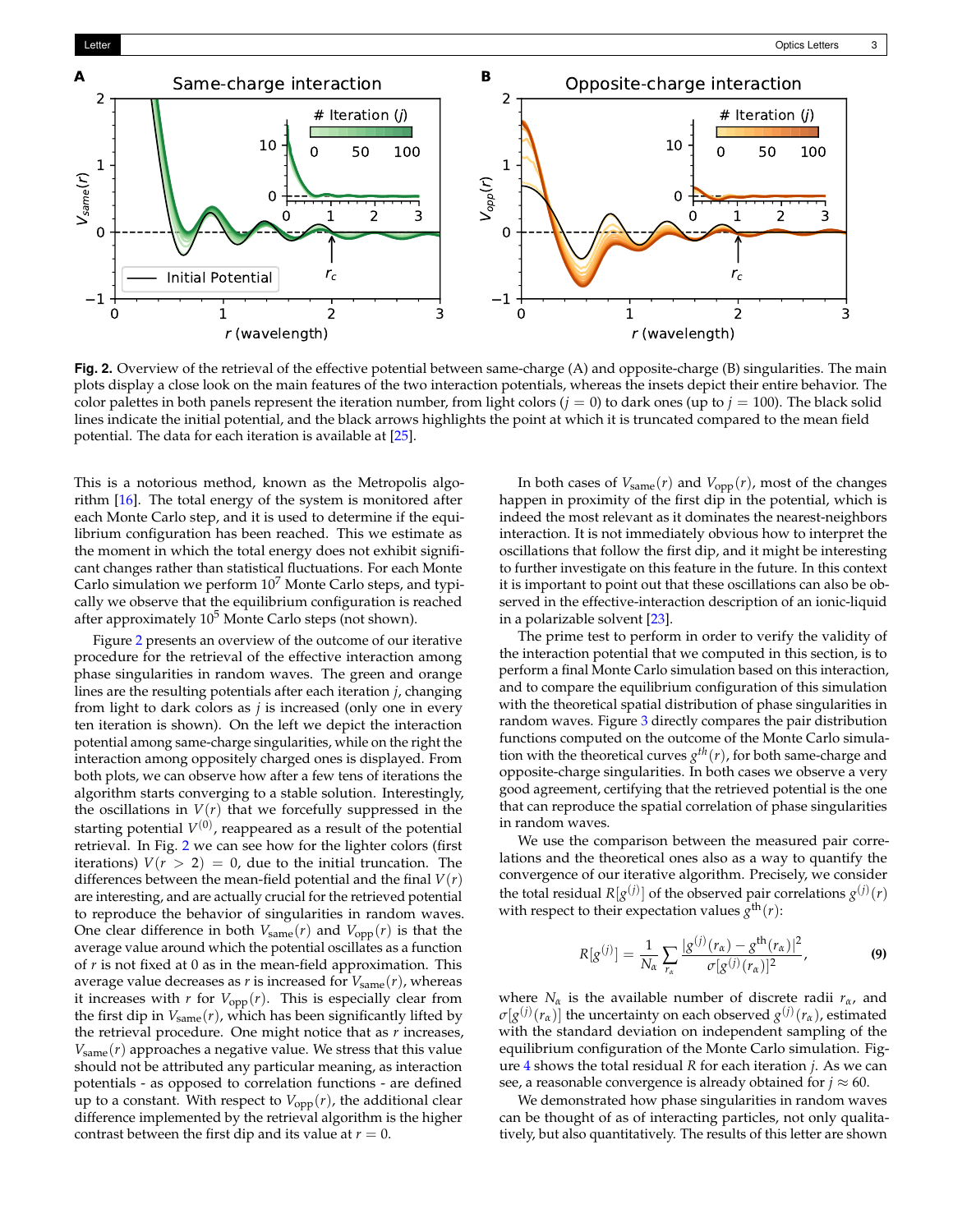<span id="page-2-0"></span>

**Fig. 2.** Overview of the retrieval of the effective potential between same-charge (A) and opposite-charge (B) singularities. The main plots display a close look on the main features of the two interaction potentials, whereas the insets depict their entire behavior. The color palettes in both panels represent the iteration number, from light colors  $(j = 0)$  to dark ones (up to  $j = 100$ ). The black solid lines indicate the initial potential, and the black arrows highlights the point at which it is truncated compared to the mean field potential. The data for each iteration is available at [\[25\]](#page-3-13).

This is a notorious method, known as the Metropolis algorithm [\[16\]](#page-3-5). The total energy of the system is monitored after each Monte Carlo step, and it is used to determine if the equilibrium configuration has been reached. This we estimate as the moment in which the total energy does not exhibit significant changes rather than statistical fluctuations. For each Monte Carlo simulation we perform  $10<sup>7</sup>$  Monte Carlo steps, and typically we observe that the equilibrium configuration is reached after approximately  $10^5$  Monte Carlo steps (not shown).

Figure [2](#page-2-0) presents an overview of the outcome of our iterative procedure for the retrieval of the effective interaction among phase singularities in random waves. The green and orange lines are the resulting potentials after each iteration *j*, changing from light to dark colors as *j* is increased (only one in every ten iteration is shown). On the left we depict the interaction potential among same-charge singularities, while on the right the interaction among oppositely charged ones is displayed. From both plots, we can observe how after a few tens of iterations the algorithm starts converging to a stable solution. Interestingly, the oscillations in  $V(r)$  that we forcefully suppressed in the starting potential  $V^{(0)}$ , reappeared as a result of the potential retrieval. In Fig. [2](#page-2-0) we can see how for the lighter colors (first iterations)  $V(r > 2) = 0$ , due to the initial truncation. The differences between the mean-field potential and the final  $V(r)$ are interesting, and are actually crucial for the retrieved potential to reproduce the behavior of singularities in random waves. One clear difference in both  $V_{\text{same}}(r)$  and  $V_{\text{opp}}(r)$  is that the average value around which the potential oscillates as a function of *r* is not fixed at 0 as in the mean-field approximation. This average value decreases as  $r$  is increased for  $V_{\text{same}}(r)$ , whereas it increases with  $r$  for  $V_{opp}(r)$ . This is especially clear from the first dip in  $V_{\text{same}}(r)$ , which has been significantly lifted by the retrieval procedure. One might notice that as *r* increases,  $V_{\text{same}}(r)$  approaches a negative value. We stress that this value should not be attributed any particular meaning, as interaction potentials - as opposed to correlation functions - are defined up to a constant. With respect to  $V_{opp}(r)$ , the additional clear difference implemented by the retrieval algorithm is the higher contrast between the first dip and its value at  $r = 0$ .

In both cases of  $V_{\text{same}}(r)$  and  $V_{\text{opp}}(r)$ , most of the changes happen in proximity of the first dip in the potential, which is indeed the most relevant as it dominates the nearest-neighbors interaction. It is not immediately obvious how to interpret the oscillations that follow the first dip, and it might be interesting to further investigate on this feature in the future. In this context it is important to point out that these oscillations can also be observed in the effective-interaction description of an ionic-liquid in a polarizable solvent [\[23\]](#page-3-10).

The prime test to perform in order to verify the validity of the interaction potential that we computed in this section, is to perform a final Monte Carlo simulation based on this interaction, and to compare the equilibrium configuration of this simulation with the theoretical spatial distribution of phase singularities in random waves. Figure [3](#page-3-14) directly compares the pair distribution functions computed on the outcome of the Monte Carlo simulation with the theoretical curves  $g^{th}(r)$ , for both same-charge and opposite-charge singularities. In both cases we observe a very good agreement, certifying that the retrieved potential is the one that can reproduce the spatial correlation of phase singularities in random waves.

We use the comparison between the measured pair correlations and the theoretical ones also as a way to quantify the convergence of our iterative algorithm. Precisely, we consider the total residual  $R[g^{(j)}]$  of the observed pair correlations  $g^{(j)}(r)$ with respect to their expectation values  $g<sup>th</sup>(r)$ :

$$
R[g^{(j)}] = \frac{1}{N_{\alpha}} \sum_{r_{\alpha}} \frac{|g^{(j)}(r_{\alpha}) - g^{\text{th}}(r_{\alpha})|^2}{\sigma[g^{(j)}(r_{\alpha})]^2},
$$
(9)

where *N<sup>α</sup>* is the available number of discrete radii *rα*, and  $\sigma[g^{(j)}(r_{\alpha})]$  the uncertainty on each observed  $g^{(j)}(r_{\alpha})$ , estimated with the standard deviation on independent sampling of the equilibrium configuration of the Monte Carlo simulation. Figure [4](#page-3-15) shows the total residual *R* for each iteration *j*. As we can see, a reasonable convergence is already obtained for  $j \approx 60$ .

We demonstrated how phase singularities in random waves can be thought of as of interacting particles, not only qualitatively, but also quantitatively. The results of this letter are shown